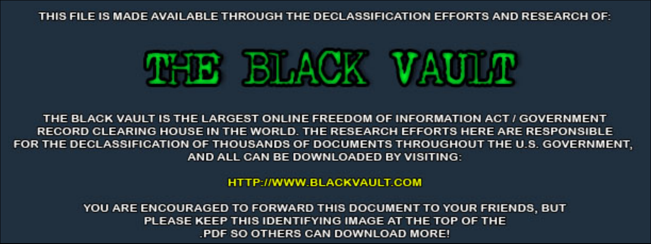THIS FILE IS MADE AVAILABLE THROUGH THE DECLASSIFICATION EFFORTS AND RESEARCH OF:



THE BLACK VAULT IS THE LARGEST ONLINE FREEDOM OF INFORMATION ACT / GOVERNMENT RECORD CLEARING HOUSE IN THE WORLD. THE RESEARCH EFFORTS HERE ARE RESPONSIBLE FOR THE DECLASSIFICATION OF THOUSANDS OF DOCUMENTS THROUGHOUT THE U.S. GOVERNMENT, AND ALL CAN BE DOWNLOADED BY VISITING:

**HTTP://WWW.BLACKVAULT.COM** 

YOU ARE ENCOURAGED TO FORWARD THIS DOCUMENT TO YOUR FRIENDS, BUT PLEASE KEEP THIS IDENTIFYING IMAGE AT THE TOP OF THE PDF SO OTHERS CAN DOWNLOAD MORE!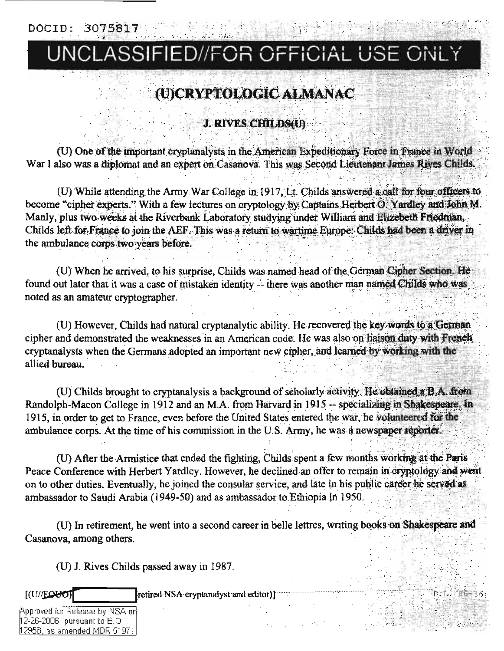DOCID: 3075817

## UNCLASSIFIED//FOR OFFICIAL USE ONLY

## (U)CRYPTOLOGIC ALMANAC

**J. RIVES CHILDS(U)** 

(U) One of the important cryptanalysts in the American Expeditionary Force in France in World War I also was a diplomat and an expert on Casanova. This was Second Lieutenant James Rives Childs.

(U) While attending the Army War College in 1917, Lt. Childs answered a call for four officers to become "cipher experts." With a few lectures on cryptology by Captains Herbert O. Yardley and John M. Manly, plus two weeks at the Riverbank Laboratory studying under William and Elizebeth Friedman. Childs left for France to join the AEF. This was a return to wartime Europe: Childs had been a driver in the ambulance corps two years before.

(U) When he arrived, to his surprise, Childs was named head of the German Cipher Section. He found out later that it was a case of mistaken identity -- there was another man named Childs who was noted as an amateur cryptographer.

(U) However, Childs had natural cryptanalytic ability. He recovered the key words to a German cipher and demonstrated the weaknesses in an American code. He was also on haison duty with French cryptanalysts when the Germans adopted an important new cipher, and learned by working with the allied bureau.

(U) Childs brought to cryptanalysis a background of scholarly activity. He obtained a B.A. from Randolph-Macon College in 1912 and an M.A. from Harvard in 1915 -- specializing in Shakespeare. In 1915, in order to get to France, even before the United States entered the war, he volunteered for the ambulance corps. At the time of his commission in the U.S. Army, he was a newspaper reporter.

(U) After the Armistice that ended the fighting, Childs spent a few months working at the Paris Peace Conference with Herbert Yardley. However, he declined an offer to remain in cryptology and went on to other duties. Eventually, he joined the consular service, and late in his public career he served as ambassador to Saudi Arabia (1949-50) and as ambassador to Ethiopia in 1950.

(U) In retirement, he went into a second career in belle lettres, writing books on Shakespeare and Casanova, among others.

R.L. MEG-36

(U) J. Rives Childs passed away in 1987.

retired NSA cryptanalyst and editor)]

Approved for Release by NSA on  $12$ -26-2006 pursuant to  $E.O$ 12958, as amended MDR 51971

 $[(U/\text{EOM})]$